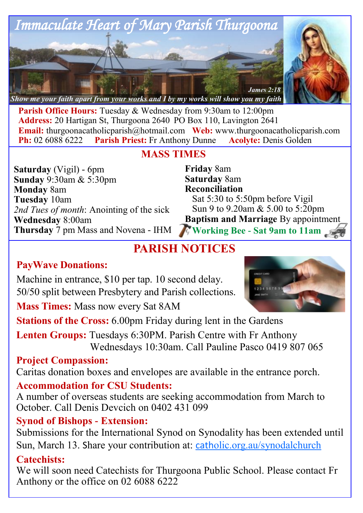

**Parish Office Hours:** Tuesday & Wednesday from 9:30am to 12:00pm **Address:** 20 Hartigan St, Thurgoona 2640 PO Box 110, Lavington 2641 **Email:** thurgoonacatholicparish@hotmail.com Web: www.thurgoonacatholicparish.com<br> **Ph:** 02 6088 6222 Parish Priest: Fr Anthony Dunne Acolyte: Denis Golden **Parish Priest:** Fr Anthony Dunne **Acolyte:** Denis Golden

#### **MASS TIMES**

**Saturday** (Vigil) - 6pm **Sunday** 9:30am & 5:30pm **Monday** 8am **Tuesday** 10am *2nd Tues of month*: Anointing of the sick **Wednesday** 8:00am **Thursday** 7 pm Mass and Novena - IHM

**Friday** 8am **Saturday** 8am **Reconciliation**  Sat 5:30 to 5:50pm before Vigil Sun 9 to 9.20am & 5.00 to 5:20pm **Baptism and Marriage** By appointment  **Working Bee - Sat 9am to 11am**

## **PARISH NOTICES**

### **PayWave Donations:**

Machine in entrance, \$10 per tap. 10 second delay. 50/50 split between Presbytery and Parish collections.

**Mass Times:** Mass now every Sat 8AM



**Stations of the Cross:** 6.00pm Friday during lent in the Gardens

**Lenten Groups:** Tuesdays 6:30PM. Parish Centre with Fr Anthony Wednesdays 10:30am. Call Pauline Pasco 0419 807 065

### **Project Compassion:**

Caritas donation boxes and envelopes are available in the entrance porch.

### **Accommodation for CSU Students:**

A number of overseas students are seeking accommodation from March to October. Call Denis Devcich on 0402 431 099

### **Synod of Bishops - Extension:**

Submissions for the International Synod on Synodality has been extended until Sun, March 13. Share your contribution at: cath[olic.org.au/synodalchurch](https://catholic.org.au/synodalchurch)

### **Catechists:**

We will soon need Catechists for Thurgoona Public School. Please contact Fr Anthony or the office on 02 6088 6222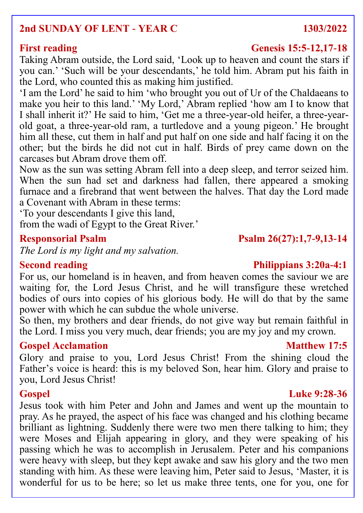#### **2nd SUNDAY OF LENT - YEAR C 1303/2022**

## **First reading Genesis 15:5-12,17-18**

Taking Abram outside, the Lord said, 'Look up to heaven and count the stars if you can.' 'Such will be your descendants,' he told him. Abram put his faith in the Lord, who counted this as making him justified.

'I am the Lord' he said to him 'who brought you out of Ur of the Chaldaeans to make you heir to this land.' 'My Lord,' Abram replied 'how am I to know that I shall inherit it?' He said to him, 'Get me a three-year-old heifer, a three-yearold goat, a three-year-old ram, a turtledove and a young pigeon.' He brought him all these, cut them in half and put half on one side and half facing it on the other; but the birds he did not cut in half. Birds of prey came down on the carcases but Abram drove them off.

Now as the sun was setting Abram fell into a deep sleep, and terror seized him. When the sun had set and darkness had fallen, there appeared a smoking furnace and a firebrand that went between the halves. That day the Lord made a Covenant with Abram in these terms:

'To your descendants I give this land,

from the wadi of Egypt to the Great River.'

*The Lord is my light and my salvation.*

#### **Second reading Philippians 3:20a-4:1**

For us, our homeland is in heaven, and from heaven comes the saviour we are waiting for, the Lord Jesus Christ, and he will transfigure these wretched bodies of ours into copies of his glorious body. He will do that by the same power with which he can subdue the whole universe.

So then, my brothers and dear friends, do not give way but remain faithful in the Lord. I miss you very much, dear friends; you are my joy and my crown.

#### **Gospel Acclamation Matthew 17:5**

Glory and praise to you, Lord Jesus Christ! From the shining cloud the Father's voice is heard: this is my beloved Son, hear him. Glory and praise to you, Lord Jesus Christ!

Jesus took with him Peter and John and James and went up the mountain to pray. As he prayed, the aspect of his face was changed and his clothing became brilliant as lightning. Suddenly there were two men there talking to him; they were Moses and Elijah appearing in glory, and they were speaking of his passing which he was to accomplish in Jerusalem. Peter and his companions were heavy with sleep, but they kept awake and saw his glory and the two men standing with him. As these were leaving him, Peter said to Jesus, 'Master, it is wonderful for us to be here; so let us make three tents, one for you, one for

#### **Gospel Luke 9:28-36**

### **Responsorial Psalm Psalm 26(27):1,7-9,13-14**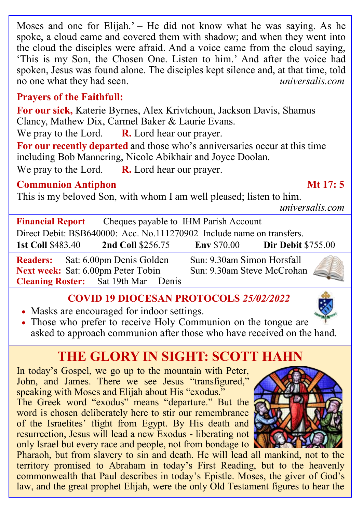Moses and one for Elijah.' – He did not know what he was saying. As he spoke, a cloud came and covered them with shadow; and when they went into the cloud the disciples were afraid. And a voice came from the cloud saying, 'This is my Son, the Chosen One. Listen to him.' And after the voice had spoken, Jesus was found alone. The disciples kept silence and, at that time, told no one what they had seen. *universalis.com*

## **Prayers of the Faithfull:**

**For our sick,** Katerie Byrnes, Alex Krivtchoun, Jackson Davis, Shamus Clancy, Mathew Dix, Carmel Baker & Laurie Evans.

We pray to the Lord. **R.** Lord hear our prayer.

**For our recently departed** and those who's anniversaries occur at this time including Bob Mannering, Nicole Abikhair and Joyce Doolan.

We pray to the Lord. **R.** Lord hear our prayer.

## **Communion Antiphon Mt 17: 5**

This is my beloved Son, with whom I am well pleased; listen to him.

*universalis.com*

|                                                                       |  |                                                                                |  | <b>Financial Report</b> Cheques payable to IHM Parish Account |                            |  |
|-----------------------------------------------------------------------|--|--------------------------------------------------------------------------------|--|---------------------------------------------------------------|----------------------------|--|
| Direct Debit: BSB640000: Acc. No.111270902 Include name on transfers. |  |                                                                                |  |                                                               |                            |  |
|                                                                       |  | <b>1st Coll \$483.40 2nd Coll \$256.75</b>                                     |  | <b>Env</b> \$70.00                                            | <b>Dir Debit \$755.00</b>  |  |
|                                                                       |  | <b>Readers:</b> Sat: 6.00pm Denis Golden<br>Next week: Sat: 6.00pm Peter Tobin |  | Sun: 9.30am Simon Horsfall                                    | Sun: 9.30am Steve McCrohan |  |
|                                                                       |  | <b>Cleaning Roster:</b> Sat 19th Mar Denis                                     |  |                                                               |                            |  |

## **COVID 19 DIOCESAN PROTOCOLS** *25/02/2022*

- Masks are encouraged for indoor settings.
- Those who prefer to receive Holy Communion on the tongue are asked to approach communion after those who have received on the hand.

# **THE GLORY IN SIGHT: SCOTT HAHN**

In today's Gospel, we go up to the mountain with Peter, John, and James. There we see Jesus "transfigured," speaking with Moses and Elijah about His "exodus."

The Greek word "exodus" means "departure." But the word is chosen deliberately here to stir our remembrance of the Israelites' flight from Egypt. By His death and resurrection, Jesus will lead a new Exodus - liberating not only Israel but every race and people, not from bondage to

Pharaoh, but from slavery to sin and death. He will lead all mankind, not to the territory promised to Abraham in today's First Reading, but to the heavenly commonwealth that Paul describes in today's Epistle. Moses, the giver of God's law, and the great prophet Elijah, were the only Old Testament figures to hear the